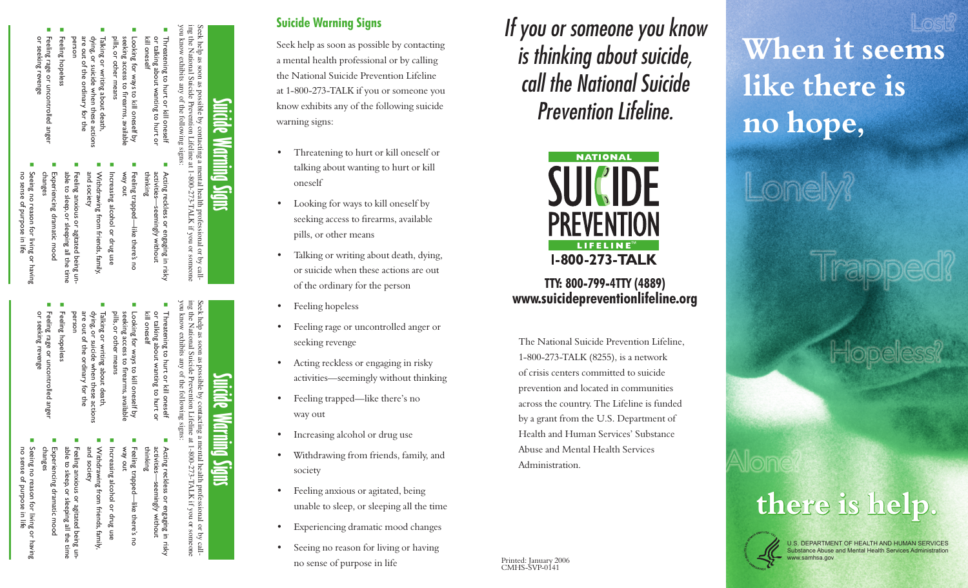Feeling rage or uncontrolled ange<br>or seeking revenge or seeking revenge Feeling rage or uncontrolled anger

person

Feeling hopeless

eling hopeless

are out of the ordinary for the dying, or suicide when these actions Talking or writing about death,

- Seeing no reason for living or having<br>no sense of purpose in life Seeing no reason for living or having no sense of purpose in life
- 
- 
- 
- 
- or seeking revenge
- Seeing no reason for living or having<br>no sense of purpose in life no sense of purpose in life
- Experiencing dramatic mood able to sleep, or sleeping all the time cperiencing dramatic mood
- changes
- Seeing no reason for living or having

changes

Experiencing dramatic mood kperiencing dramatic mood

n

and society

able to sleep, or sleeping all the time Feeling anxious or agitated being uneling anxious or agitated being un<br>le to sleep, or sleeping all the time

Withdrawing from friends, family, creasing alcohol or drug use awing from friends, family,

n

n

Increasing alcohol or drug use person

- Feeling hopeless eling hopeless
- Feeling rage or uncc<br>or seeking revenge

# and society

ing the National Suicide Prevention Lifeline at 1-800-273-TALK if you or someone you know exhibits any of the following signs: ide Prevention Lif<br>1y of the following n mental health professional or by call-<br>1-800-273-TALK if you or someone

Seek help as soon as possible by contacting a mental health professional or by call-

as possible

**Suicide Warning Signs**

Marning Signs

**Surcide** 

Seek help as soon as possible by contacting a mental health professional or by calling the National Suicide Prevention Lifeline at 1-800-273-TALK if you or someone<br>you know exhibits any of the following signs:

nental health professional or<br>1-800-273-TALK if you or

The order<br>
Someone

Seek help as soon as<br>ing the National Suic

exhibits

Ğ

eek help as soon as possible<br>ng the National Suicide Prev

exhibits Sury

de Prevention Lii<br>y of the following

**Suicide Warning Signs**

Warming Signs

**Suicide** 

**Suicide Warning Signs**

warning signs:

oneself

Seek help as soon as possible by contacting a mental health professional or by calling the National Suicide Prevention Lifeline at 1-800-273-TALK if you or someone you know exhibits any of the following suicide

**When it seems** 

**there is help.**

Substance Abuse and Mental Health Service

www.samhsa.gov

Alon

U.S. DEPARTMENT OF HEALTH AND HUMAN SERVICES

Trapped?

Hopeless?

**like there is** 

**no hope,**

Lonely?

**TTY: 800-799-4TTY (4889) www.suicidepreventionlifeline.org**

*If you or someone you know* 

*is thinking about suicide,* 

*call the National Suicide* 

*Prevention Lifeline.*

**NATIONAL** 

**SUICIDE** 

**PREVENTION** 

LIFELINE

**I-800-273-TALK** 

The National Suicide Prevention Lifeline, 1-800-273-TALK (8255), is a network of crisis centers committed to suicide prevention and located in communities across the country. The Lifeline is funded by a grant from the U.S. Department of Health and Human Services' Substance

Abuse and Mental Health Services

Administration.

Printed: January 2006 CMHS-SVP-0141

• Threatening to hurt or kill oneself or talking about wanting to hurt or kill

• Looking for ways to kill oneself by seeking access to firearms, available

• Talking or writing about death, dying, or suicide when these actions are out

• Feeling rage or uncontrolled anger or

• Acting reckless or engaging in risky activities—seemingly without thinking

• Withdrawing from friends, family, and

unable to sleep, or sleeping all the time

Experiencing dramatic mood changes

• Seeing no reason for living or having

no sense of purpose in life

• Feeling trapped—like there's no

• Increasing alcohol or drug use

• Feeling anxious or agitated, being

of the ordinary for the person

pills, or other means

• Feeling hopeless

seeking revenge

way out

society

or talking about wanting to hurt or Threatening to hurt or kill oneself r kill oneself<br>ing to hurt or

n

Looking for ways to kill oneself by kill oneself ways to kill oneself by<br>ss to firearms, availabl

kill oneself

thinking

n

eeling trapped—like there's no<br>′ay out Feeling trapped—like there's no

activities—seemingly without Acting reckless or engaging in risky

less or engaging in risky<br>seemingly without

Acting reckless or<br>Acting reckless or

n

pills, or other means

seeking access to firearms, available Looking for ways to kill oneself by

king for ways to kill oneself by<br>cing access to firearms, availab

or talking about wanting to hurt or Threatening to hurt or kill oneself

atening to hurt or kill onesel<br>llking about wanting to hurt c

- pills, or other means seeking access to firearms, available
- are out of the ordinary for the dying, or suicide when these actions Talking or writing about death,
- 

# Feeling rage or uncontrolled anger ontrolled ange

# Feeling anxious or agitated being uneling anxious or agitated being un<br>le to sleep, or sleeping all the time<br>le to sleep, or sleeping all the time

- activities—seemingly without
- 
- 
- Acting reckless or engaging in risky<br>activities—seemingly without<br>thinking
- 
- 
- 
- 
- Acting reckless or engaging in risky
- 
- 
- 
- 
- 
- 
- 
- 
- 
- 
- 
- 
- 
- 
- 
- 
- 
- 
- 
- 
- 
- 
- 
- 
- 
- 
- 
- 
- 
- 
- 
- 
- 
- 
- 
- 
- 
- 
- 
- 
- 
- 
- 
- 
- eling trapped—like there's no<br>ay out Feeling trapped—like there's no

Increasing alcohol or drug use

creasing alcohol or drug use

Withdrawing from friends, family,

Withdrawing from friends, family,